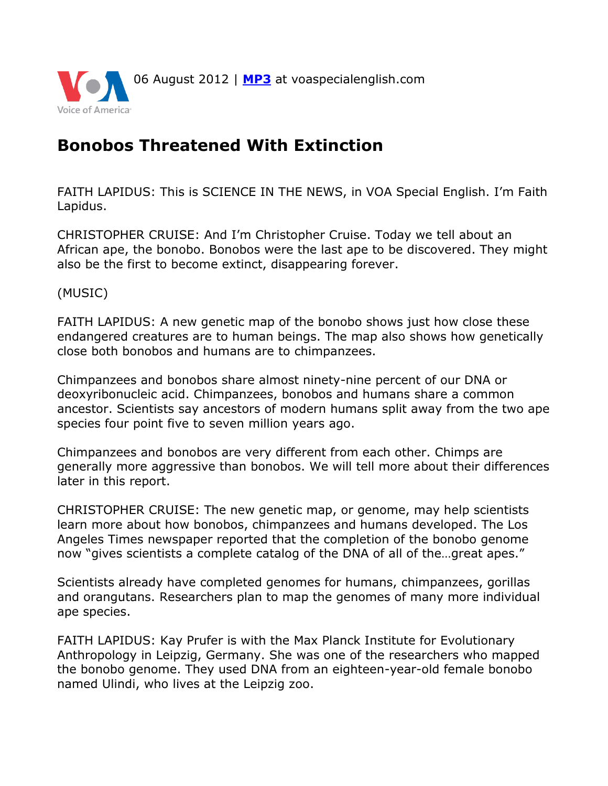

## **Bonobos Threatened With Extinction**

FAITH LAPIDUS: This is SCIENCE IN THE NEWS, in VOA Special English. I'm Faith Lapidus.

CHRISTOPHER CRUISE: And I'm Christopher Cruise. Today we tell about an African ape, the bonobo. Bonobos were the last ape to be discovered. They might also be the first to become extinct, disappearing forever.

(MUSIC)

FAITH LAPIDUS: A new genetic map of the bonobo shows just how close these endangered creatures are to human beings. The map also shows how genetically close both bonobos and humans are to chimpanzees.

Chimpanzees and bonobos share almost ninety-nine percent of our DNA or deoxyribonucleic acid. Chimpanzees, bonobos and humans share a common ancestor. Scientists say ancestors of modern humans split away from the two ape species four point five to seven million years ago.

Chimpanzees and bonobos are very different from each other. Chimps are generally more aggressive than bonobos. We will tell more about their differences later in this report.

CHRISTOPHER CRUISE: The new genetic map, or genome, may help scientists learn more about how bonobos, chimpanzees and humans developed. The Los Angeles Times newspaper reported that the completion of the bonobo genome now "gives scientists a complete catalog of the DNA of all of the…great apes."

Scientists already have completed genomes for humans, chimpanzees, gorillas and orangutans. Researchers plan to map the genomes of many more individual ape species.

FAITH LAPIDUS: Kay Prufer is with the Max Planck Institute for Evolutionary Anthropology in Leipzig, Germany. She was one of the researchers who mapped the bonobo genome. They used DNA from an eighteen-year-old female bonobo named Ulindi, who lives at the Leipzig zoo.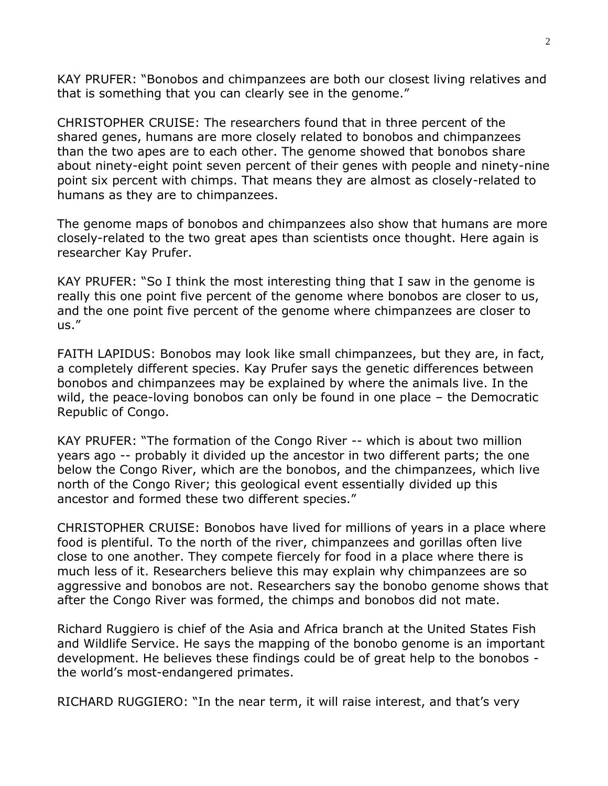KAY PRUFER: "Bonobos and chimpanzees are both our closest living relatives and that is something that you can clearly see in the genome."

CHRISTOPHER CRUISE: The researchers found that in three percent of the shared genes, humans are more closely related to bonobos and chimpanzees than the two apes are to each other. The genome showed that bonobos share about ninety-eight point seven percent of their genes with people and ninety-nine point six percent with chimps. That means they are almost as closely-related to humans as they are to chimpanzees.

The genome maps of bonobos and chimpanzees also show that humans are more closely-related to the two great apes than scientists once thought. Here again is researcher Kay Prufer.

KAY PRUFER: "So I think the most interesting thing that I saw in the genome is really this one point five percent of the genome where bonobos are closer to us, and the one point five percent of the genome where chimpanzees are closer to us."

FAITH LAPIDUS: Bonobos may look like small chimpanzees, but they are, in fact, a completely different species. Kay Prufer says the genetic differences between bonobos and chimpanzees may be explained by where the animals live. In the wild, the peace-loving bonobos can only be found in one place – the Democratic Republic of Congo.

KAY PRUFER: "The formation of the Congo River -- which is about two million years ago -- probably it divided up the ancestor in two different parts; the one below the Congo River, which are the bonobos, and the chimpanzees, which live north of the Congo River; this geological event essentially divided up this ancestor and formed these two different species."

CHRISTOPHER CRUISE: Bonobos have lived for millions of years in a place where food is plentiful. To the north of the river, chimpanzees and gorillas often live close to one another. They compete fiercely for food in a place where there is much less of it. Researchers believe this may explain why chimpanzees are so aggressive and bonobos are not. Researchers say the bonobo genome shows that after the Congo River was formed, the chimps and bonobos did not mate.

Richard Ruggiero is chief of the Asia and Africa branch at the United States Fish and Wildlife Service. He says the mapping of the bonobo genome is an important development. He believes these findings could be of great help to the bonobos the world's most-endangered primates.

RICHARD RUGGIERO: "In the near term, it will raise interest, and that's very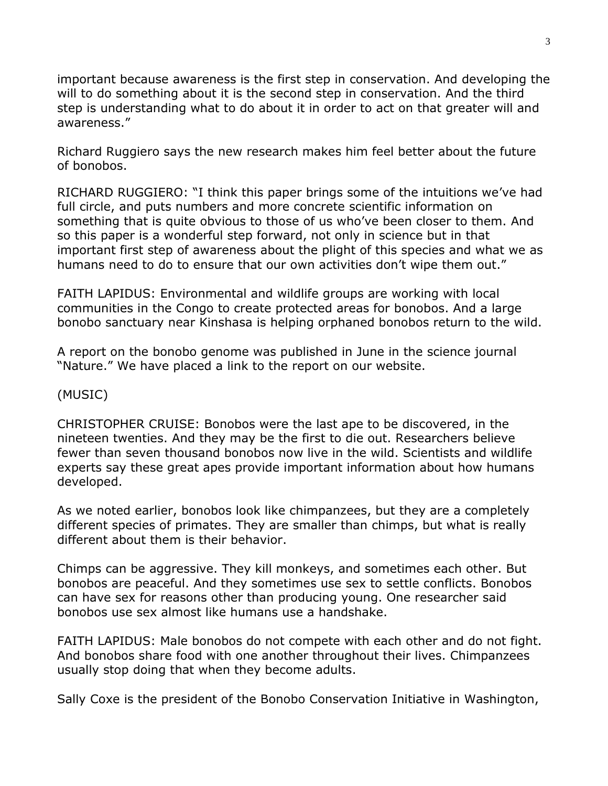important because awareness is the first step in conservation. And developing the will to do something about it is the second step in conservation. And the third step is understanding what to do about it in order to act on that greater will and awareness."

Richard Ruggiero says the new research makes him feel better about the future of bonobos.

RICHARD RUGGIERO: "I think this paper brings some of the intuitions we've had full circle, and puts numbers and more concrete scientific information on something that is quite obvious to those of us who've been closer to them. And so this paper is a wonderful step forward, not only in science but in that important first step of awareness about the plight of this species and what we as humans need to do to ensure that our own activities don't wipe them out."

FAITH LAPIDUS: Environmental and wildlife groups are working with local communities in the Congo to create protected areas for bonobos. And a large bonobo sanctuary near Kinshasa is helping orphaned bonobos return to the wild.

A report on the bonobo genome was published in June in the science journal "Nature." We have placed a link to the report on our website.

## (MUSIC)

CHRISTOPHER CRUISE: Bonobos were the last ape to be discovered, in the nineteen twenties. And they may be the first to die out. Researchers believe fewer than seven thousand bonobos now live in the wild. Scientists and wildlife experts say these great apes provide important information about how humans developed.

As we noted earlier, bonobos look like chimpanzees, but they are a completely different species of primates. They are smaller than chimps, but what is really different about them is their behavior.

Chimps can be aggressive. They kill monkeys, and sometimes each other. But bonobos are peaceful. And they sometimes use sex to settle conflicts. Bonobos can have sex for reasons other than producing young. One researcher said bonobos use sex almost like humans use a handshake.

FAITH LAPIDUS: Male bonobos do not compete with each other and do not fight. And bonobos share food with one another throughout their lives. Chimpanzees usually stop doing that when they become adults.

Sally Coxe is the president of the Bonobo Conservation Initiative in Washington,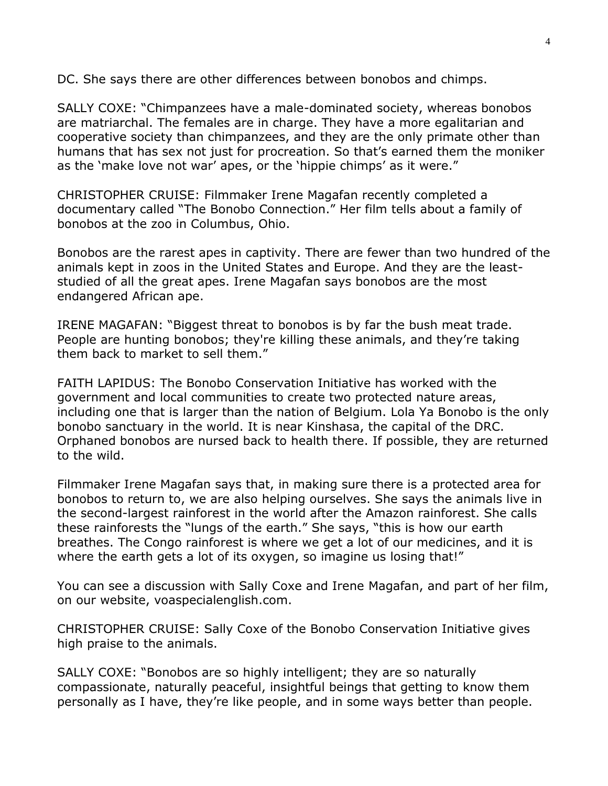DC. She says there are other differences between bonobos and chimps.

SALLY COXE: "Chimpanzees have a male-dominated society, whereas bonobos are matriarchal. The females are in charge. They have a more egalitarian and cooperative society than chimpanzees, and they are the only primate other than humans that has sex not just for procreation. So that's earned them the moniker as the 'make love not war' apes, or the 'hippie chimps' as it were."

CHRISTOPHER CRUISE: Filmmaker Irene Magafan recently completed a documentary called "The Bonobo Connection." Her film tells about a family of bonobos at the zoo in Columbus, Ohio.

Bonobos are the rarest apes in captivity. There are fewer than two hundred of the animals kept in zoos in the United States and Europe. And they are the leaststudied of all the great apes. Irene Magafan says bonobos are the most endangered African ape.

IRENE MAGAFAN: "Biggest threat to bonobos is by far the bush meat trade. People are hunting bonobos; they're killing these animals, and they're taking them back to market to sell them."

FAITH LAPIDUS: The Bonobo Conservation Initiative has worked with the government and local communities to create two protected nature areas, including one that is larger than the nation of Belgium. Lola Ya Bonobo is the only bonobo sanctuary in the world. It is near Kinshasa, the capital of the DRC. Orphaned bonobos are nursed back to health there. If possible, they are returned to the wild.

Filmmaker Irene Magafan says that, in making sure there is a protected area for bonobos to return to, we are also helping ourselves. She says the animals live in the second-largest rainforest in the world after the Amazon rainforest. She calls these rainforests the "lungs of the earth." She says, "this is how our earth breathes. The Congo rainforest is where we get a lot of our medicines, and it is where the earth gets a lot of its oxygen, so imagine us losing that!"

You can see a discussion with Sally Coxe and Irene Magafan, and part of her film, on our website, voaspecialenglish.com.

CHRISTOPHER CRUISE: Sally Coxe of the Bonobo Conservation Initiative gives high praise to the animals.

SALLY COXE: "Bonobos are so highly intelligent; they are so naturally compassionate, naturally peaceful, insightful beings that getting to know them personally as I have, they're like people, and in some ways better than people.